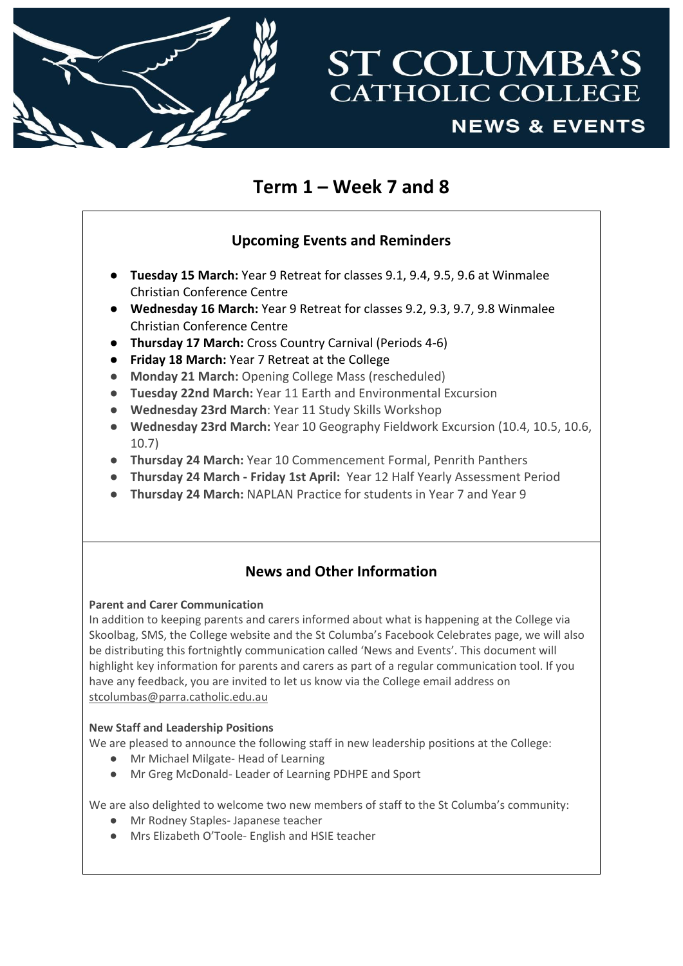

# **ST COLUMBA'S CATHOLIC COLLEGE NEWS & EVENTS**

## **Term 1 – Week 7 and 8**

## **Upcoming Events and Reminders**

- **Tuesday 15 March:** Year 9 Retreat for classes 9.1, 9.4, 9.5, 9.6 at Winmalee Christian Conference Centre
- **Wednesday 16 March:** Year 9 Retreat for classes 9.2, 9.3, 9.7, 9.8 Winmalee Christian Conference Centre
- **Thursday 17 March:** Cross Country Carnival (Periods 4-6)
- **Friday 18 March:** Year 7 Retreat at the College
- **Monday 21 March:** Opening College Mass (rescheduled)
- **Tuesday 22nd March:** Year 11 Earth and Environmental Excursion
- **Wednesday 23rd March**: Year 11 Study Skills Workshop
- **Wednesday 23rd March:** Year 10 Geography Fieldwork Excursion (10.4, 10.5, 10.6, 10.7)
- **Thursday 24 March:** Year 10 Commencement Formal, Penrith Panthers
- **Thursday 24 March - Friday 1st April:** Year 12 Half Yearly Assessment Period
- **Thursday 24 March:** NAPLAN Practice for students in Year 7 and Year 9

## **News and Other Information**

#### **Parent and Carer Communication**

In addition to keeping parents and carers informed about what is happening at the College via Skoolbag, SMS, the College website and the St Columba's Facebook Celebrates page, we will also be distributing this fortnightly communication called 'News and Events'. This document will highlight key information for parents and carers as part of a regular communication tool. If you have any feedback, you are invited to let us know via the College email address on [stcolumbas@parra.catholic.edu.au](mailto:stcolumbas@parra.catholic.edu.au)

#### **New Staff and Leadership Positions**

We are pleased to announce the following staff in new leadership positions at the College:

- Mr Michael Milgate- Head of Learning
- Mr Greg McDonald- Leader of Learning PDHPE and Sport

We are also delighted to welcome two new members of staff to the St Columba's community:

- Mr Rodney Staples- Japanese teacher
- Mrs Elizabeth O'Toole- English and HSIE teacher